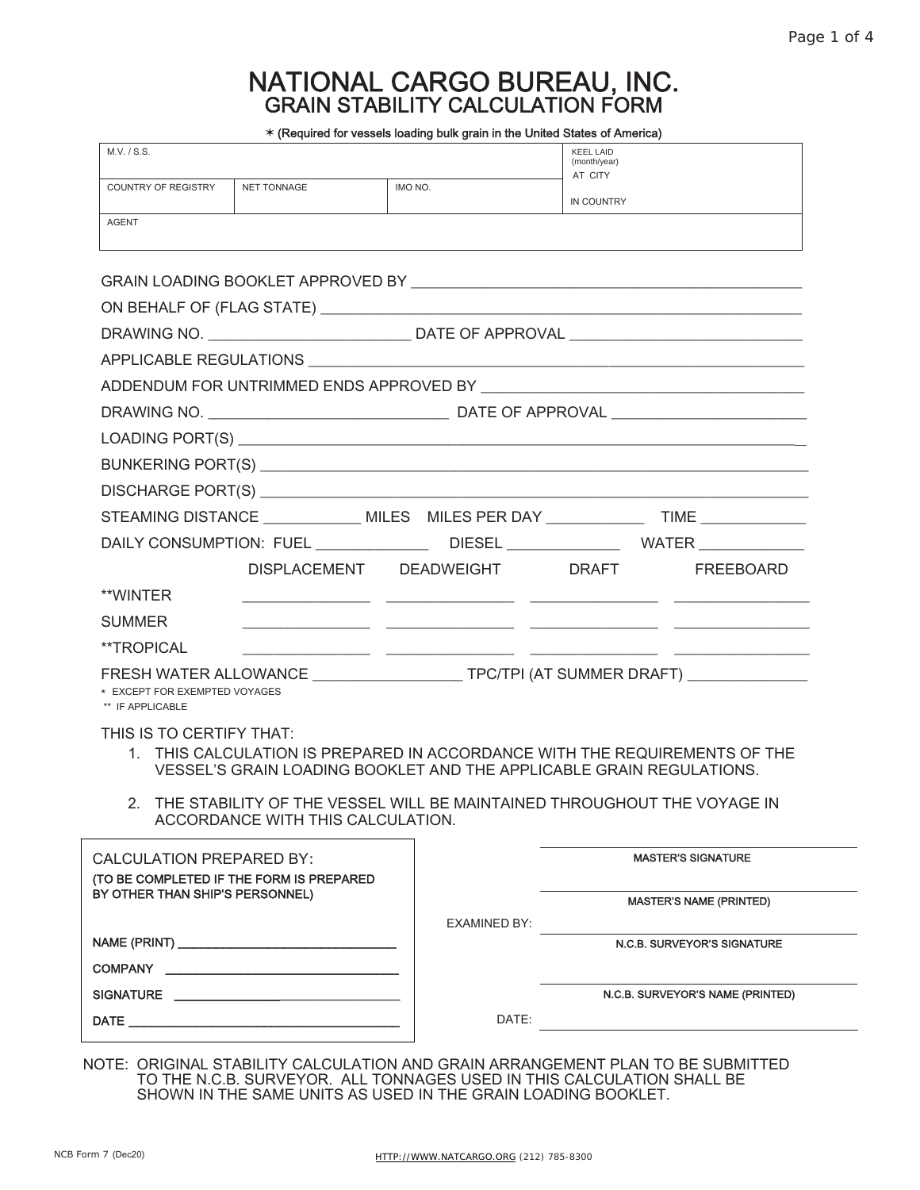# NATIONAL CARGO BUREAU, INC. GRAIN STABILITY CALCULATION FORM

 $\pm$  /Docuired for vessels loading bulk grain in the United States of America)

| M.V. / S.S.                                       |                                          | * (Required for vessels loading buik grain in the United States of America)                                                                                                                                                   | <b>KEEL LAID</b><br>(month/year) |                                  |
|---------------------------------------------------|------------------------------------------|-------------------------------------------------------------------------------------------------------------------------------------------------------------------------------------------------------------------------------|----------------------------------|----------------------------------|
| COUNTRY OF REGISTRY                               | NET TONNAGE                              | IMO NO.                                                                                                                                                                                                                       | AT CITY                          |                                  |
| <b>AGENT</b>                                      |                                          |                                                                                                                                                                                                                               | IN COUNTRY                       |                                  |
|                                                   |                                          |                                                                                                                                                                                                                               |                                  |                                  |
|                                                   |                                          |                                                                                                                                                                                                                               |                                  |                                  |
|                                                   |                                          |                                                                                                                                                                                                                               |                                  |                                  |
|                                                   |                                          |                                                                                                                                                                                                                               |                                  |                                  |
|                                                   |                                          |                                                                                                                                                                                                                               |                                  |                                  |
|                                                   |                                          |                                                                                                                                                                                                                               |                                  |                                  |
|                                                   |                                          |                                                                                                                                                                                                                               |                                  |                                  |
|                                                   |                                          |                                                                                                                                                                                                                               |                                  |                                  |
|                                                   |                                          |                                                                                                                                                                                                                               |                                  |                                  |
|                                                   |                                          |                                                                                                                                                                                                                               |                                  |                                  |
|                                                   |                                          | STEAMING DISTANCE ______________ MILES MILES PER DAY ______________ TIME ____________                                                                                                                                         |                                  |                                  |
|                                                   |                                          | DAILY CONSUMPTION: FUEL _________________DIESEL _________________WATER ___________                                                                                                                                            |                                  |                                  |
|                                                   |                                          | DISPLACEMENT DEADWEIGHT DRAFT                                                                                                                                                                                                 |                                  | FREEBOARD                        |
| **WINTER                                          |                                          |                                                                                                                                                                                                                               |                                  |                                  |
| <b>SUMMER</b>                                     |                                          |                                                                                                                                                                                                                               |                                  |                                  |
| **TROPICAL                                        |                                          | <u> 2000 - Jan James James Jan James James James James James James James James James James James James James Ja</u>                                                                                                           |                                  |                                  |
| * EXCEPT FOR EXEMPTED VOYAGES<br>** IF APPLICABLE |                                          | FRESH WATER ALLOWANCE _____________________TPC/TPI (AT SUMMER DRAFT) ____________                                                                                                                                             |                                  |                                  |
| THIS IS TO CERTIFY THAT:<br>2.                    |                                          | 1. THIS CALCULATION IS PREPARED IN ACCORDANCE WITH THE REQUIREMENTS OF THE<br>VESSEL'S GRAIN LOADING BOOKLET AND THE APPLICABLE GRAIN REGULATIONS.<br>THE STABILITY OF THE VESSEL WILL BE MAINTAINED THROUGHOUT THE VOYAGE IN |                                  |                                  |
|                                                   | ACCORDANCE WITH THIS CALCULATION.        |                                                                                                                                                                                                                               |                                  |                                  |
| <b>CALCULATION PREPARED BY:</b>                   |                                          |                                                                                                                                                                                                                               |                                  | <b>MASTER'S SIGNATURE</b>        |
| BY OTHER THAN SHIP'S PERSONNEL)                   | (TO BE COMPLETED IF THE FORM IS PREPARED |                                                                                                                                                                                                                               |                                  |                                  |
|                                                   |                                          | EXAMINED BY:                                                                                                                                                                                                                  |                                  | <b>MASTER'S NAME (PRINTED)</b>   |
|                                                   |                                          |                                                                                                                                                                                                                               |                                  | N.C.B. SURVEYOR'S SIGNATURE      |
|                                                   |                                          |                                                                                                                                                                                                                               |                                  |                                  |
|                                                   |                                          |                                                                                                                                                                                                                               |                                  | N.C.B. SURVEYOR'S NAME (PRINTED) |
|                                                   |                                          |                                                                                                                                                                                                                               |                                  |                                  |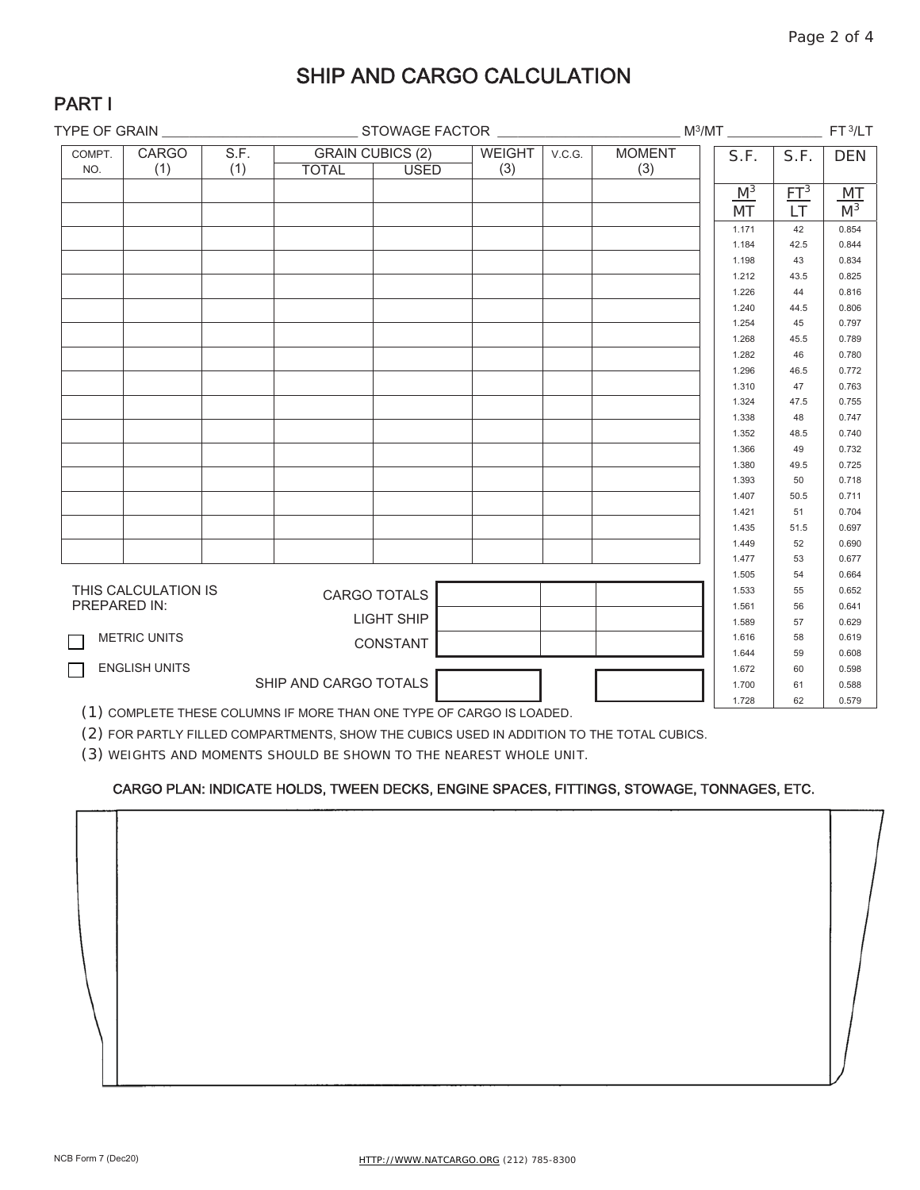### SHIP AND CARGO CALCULATION

| ٨ | я |  |  |
|---|---|--|--|
|   |   |  |  |

| S.F.<br><b>CARGO</b><br><b>GRAIN CUBICS (2)</b><br><b>MOMENT</b><br><b>WEIGHT</b><br>V.C.G.<br>COMPT.<br>S.F.<br>S.F.<br><b>DEN</b><br>(1)<br>(3)<br>(1)<br>(3)<br><b>TOTAL</b><br><b>USED</b><br>NO.<br>$M^3$<br>ET <sup>3</sup><br>MT<br>M <sup>3</sup><br><b>LT</b><br>MT<br>42<br>0.854<br>1.171<br>42.5<br>0.844<br>1.184<br>0.834<br>1.198<br>43<br>43.5<br>0.825<br>1.212<br>0.816<br>1.226<br>44<br>1.240<br>44.5<br>0.806<br>45<br>0.797<br>1.254<br>45.5<br>0.789<br>1.268<br>0.780<br>1.282<br>46<br>1.296<br>46.5<br>0.772<br>47<br>0.763<br>1.310<br>47.5<br>0.755<br>1.324<br>0.747<br>1.338<br>48<br>0.740<br>1.352<br>48.5<br>49<br>0.732<br>1.366<br>49.5<br>0.725<br>1.380<br>0.718<br>1.393<br>50<br>1.407<br>50.5<br>0.711<br>51<br>0.704<br>1.421<br>51.5<br>0.697<br>1.435<br>0.690<br>1.449<br>52<br>1.477<br>53<br>0.677<br>54<br>1.505<br>0.664<br>THIS CALCULATION IS<br>55<br>0.652<br>1.533<br><b>CARGO TOTALS</b><br>PREPARED IN:<br>56<br>1.561<br>0.641<br>LIGHT SHIP<br>57<br>1.589<br>0.629<br><b>METRIC UNITS</b><br>58<br>0.619<br>1.616<br>CONSTANT<br>59<br>0.608<br>1.644<br><b>ENGLISH UNITS</b><br>60<br>1.672<br>0.598<br>SHIP AND CARGO TOTALS<br>1.700<br>61<br>0.588 | TYPE OF GRAIN |  |  |  |  |  |  | $M^3/MT$ | FT <sub>3/LT</sub> |       |
|------------------------------------------------------------------------------------------------------------------------------------------------------------------------------------------------------------------------------------------------------------------------------------------------------------------------------------------------------------------------------------------------------------------------------------------------------------------------------------------------------------------------------------------------------------------------------------------------------------------------------------------------------------------------------------------------------------------------------------------------------------------------------------------------------------------------------------------------------------------------------------------------------------------------------------------------------------------------------------------------------------------------------------------------------------------------------------------------------------------------------------------------------------------------------------------------------------------|---------------|--|--|--|--|--|--|----------|--------------------|-------|
|                                                                                                                                                                                                                                                                                                                                                                                                                                                                                                                                                                                                                                                                                                                                                                                                                                                                                                                                                                                                                                                                                                                                                                                                                  |               |  |  |  |  |  |  |          |                    |       |
|                                                                                                                                                                                                                                                                                                                                                                                                                                                                                                                                                                                                                                                                                                                                                                                                                                                                                                                                                                                                                                                                                                                                                                                                                  |               |  |  |  |  |  |  |          |                    |       |
|                                                                                                                                                                                                                                                                                                                                                                                                                                                                                                                                                                                                                                                                                                                                                                                                                                                                                                                                                                                                                                                                                                                                                                                                                  |               |  |  |  |  |  |  |          |                    |       |
|                                                                                                                                                                                                                                                                                                                                                                                                                                                                                                                                                                                                                                                                                                                                                                                                                                                                                                                                                                                                                                                                                                                                                                                                                  |               |  |  |  |  |  |  |          |                    |       |
|                                                                                                                                                                                                                                                                                                                                                                                                                                                                                                                                                                                                                                                                                                                                                                                                                                                                                                                                                                                                                                                                                                                                                                                                                  |               |  |  |  |  |  |  |          |                    |       |
|                                                                                                                                                                                                                                                                                                                                                                                                                                                                                                                                                                                                                                                                                                                                                                                                                                                                                                                                                                                                                                                                                                                                                                                                                  |               |  |  |  |  |  |  |          |                    |       |
|                                                                                                                                                                                                                                                                                                                                                                                                                                                                                                                                                                                                                                                                                                                                                                                                                                                                                                                                                                                                                                                                                                                                                                                                                  |               |  |  |  |  |  |  |          |                    |       |
|                                                                                                                                                                                                                                                                                                                                                                                                                                                                                                                                                                                                                                                                                                                                                                                                                                                                                                                                                                                                                                                                                                                                                                                                                  |               |  |  |  |  |  |  |          |                    |       |
|                                                                                                                                                                                                                                                                                                                                                                                                                                                                                                                                                                                                                                                                                                                                                                                                                                                                                                                                                                                                                                                                                                                                                                                                                  |               |  |  |  |  |  |  |          |                    |       |
|                                                                                                                                                                                                                                                                                                                                                                                                                                                                                                                                                                                                                                                                                                                                                                                                                                                                                                                                                                                                                                                                                                                                                                                                                  |               |  |  |  |  |  |  |          |                    |       |
|                                                                                                                                                                                                                                                                                                                                                                                                                                                                                                                                                                                                                                                                                                                                                                                                                                                                                                                                                                                                                                                                                                                                                                                                                  |               |  |  |  |  |  |  |          |                    |       |
|                                                                                                                                                                                                                                                                                                                                                                                                                                                                                                                                                                                                                                                                                                                                                                                                                                                                                                                                                                                                                                                                                                                                                                                                                  |               |  |  |  |  |  |  |          |                    |       |
|                                                                                                                                                                                                                                                                                                                                                                                                                                                                                                                                                                                                                                                                                                                                                                                                                                                                                                                                                                                                                                                                                                                                                                                                                  |               |  |  |  |  |  |  |          |                    |       |
|                                                                                                                                                                                                                                                                                                                                                                                                                                                                                                                                                                                                                                                                                                                                                                                                                                                                                                                                                                                                                                                                                                                                                                                                                  |               |  |  |  |  |  |  |          |                    |       |
|                                                                                                                                                                                                                                                                                                                                                                                                                                                                                                                                                                                                                                                                                                                                                                                                                                                                                                                                                                                                                                                                                                                                                                                                                  |               |  |  |  |  |  |  |          |                    |       |
|                                                                                                                                                                                                                                                                                                                                                                                                                                                                                                                                                                                                                                                                                                                                                                                                                                                                                                                                                                                                                                                                                                                                                                                                                  |               |  |  |  |  |  |  |          |                    |       |
|                                                                                                                                                                                                                                                                                                                                                                                                                                                                                                                                                                                                                                                                                                                                                                                                                                                                                                                                                                                                                                                                                                                                                                                                                  |               |  |  |  |  |  |  |          |                    |       |
|                                                                                                                                                                                                                                                                                                                                                                                                                                                                                                                                                                                                                                                                                                                                                                                                                                                                                                                                                                                                                                                                                                                                                                                                                  |               |  |  |  |  |  |  |          |                    |       |
|                                                                                                                                                                                                                                                                                                                                                                                                                                                                                                                                                                                                                                                                                                                                                                                                                                                                                                                                                                                                                                                                                                                                                                                                                  |               |  |  |  |  |  |  |          |                    |       |
|                                                                                                                                                                                                                                                                                                                                                                                                                                                                                                                                                                                                                                                                                                                                                                                                                                                                                                                                                                                                                                                                                                                                                                                                                  |               |  |  |  |  |  |  |          |                    |       |
|                                                                                                                                                                                                                                                                                                                                                                                                                                                                                                                                                                                                                                                                                                                                                                                                                                                                                                                                                                                                                                                                                                                                                                                                                  |               |  |  |  |  |  |  |          |                    |       |
|                                                                                                                                                                                                                                                                                                                                                                                                                                                                                                                                                                                                                                                                                                                                                                                                                                                                                                                                                                                                                                                                                                                                                                                                                  |               |  |  |  |  |  |  |          |                    |       |
|                                                                                                                                                                                                                                                                                                                                                                                                                                                                                                                                                                                                                                                                                                                                                                                                                                                                                                                                                                                                                                                                                                                                                                                                                  |               |  |  |  |  |  |  |          |                    |       |
|                                                                                                                                                                                                                                                                                                                                                                                                                                                                                                                                                                                                                                                                                                                                                                                                                                                                                                                                                                                                                                                                                                                                                                                                                  |               |  |  |  |  |  |  |          |                    |       |
|                                                                                                                                                                                                                                                                                                                                                                                                                                                                                                                                                                                                                                                                                                                                                                                                                                                                                                                                                                                                                                                                                                                                                                                                                  |               |  |  |  |  |  |  |          |                    |       |
|                                                                                                                                                                                                                                                                                                                                                                                                                                                                                                                                                                                                                                                                                                                                                                                                                                                                                                                                                                                                                                                                                                                                                                                                                  |               |  |  |  |  |  |  |          |                    |       |
|                                                                                                                                                                                                                                                                                                                                                                                                                                                                                                                                                                                                                                                                                                                                                                                                                                                                                                                                                                                                                                                                                                                                                                                                                  |               |  |  |  |  |  |  |          |                    |       |
|                                                                                                                                                                                                                                                                                                                                                                                                                                                                                                                                                                                                                                                                                                                                                                                                                                                                                                                                                                                                                                                                                                                                                                                                                  |               |  |  |  |  |  |  |          |                    |       |
|                                                                                                                                                                                                                                                                                                                                                                                                                                                                                                                                                                                                                                                                                                                                                                                                                                                                                                                                                                                                                                                                                                                                                                                                                  |               |  |  |  |  |  |  |          |                    |       |
|                                                                                                                                                                                                                                                                                                                                                                                                                                                                                                                                                                                                                                                                                                                                                                                                                                                                                                                                                                                                                                                                                                                                                                                                                  |               |  |  |  |  |  |  |          |                    |       |
|                                                                                                                                                                                                                                                                                                                                                                                                                                                                                                                                                                                                                                                                                                                                                                                                                                                                                                                                                                                                                                                                                                                                                                                                                  |               |  |  |  |  |  |  |          |                    |       |
|                                                                                                                                                                                                                                                                                                                                                                                                                                                                                                                                                                                                                                                                                                                                                                                                                                                                                                                                                                                                                                                                                                                                                                                                                  |               |  |  |  |  |  |  |          |                    |       |
|                                                                                                                                                                                                                                                                                                                                                                                                                                                                                                                                                                                                                                                                                                                                                                                                                                                                                                                                                                                                                                                                                                                                                                                                                  |               |  |  |  |  |  |  |          |                    |       |
|                                                                                                                                                                                                                                                                                                                                                                                                                                                                                                                                                                                                                                                                                                                                                                                                                                                                                                                                                                                                                                                                                                                                                                                                                  |               |  |  |  |  |  |  | 1.728    | 62                 | 0.579 |

(1) COMPLETE THESE COLUMNS IF MORE THAN ONE TYPE OF CARGO IS LOADED.

(2) FOR PARTLY FILLED COMPARTMENTS, SHOW THE CUBICS USED IN ADDITION TO THE TOTAL CUBICS.

(3) WEIGHTS AND MOMENTS SHOULD BE SHOWN TO THE NEAREST WHOLE UNIT.

#### CARGO PLAN: INDICATE HOLDS, TWEEN DECKS, ENGINE SPACES, FITTINGS, STOWAGE, TONNAGES, ETC.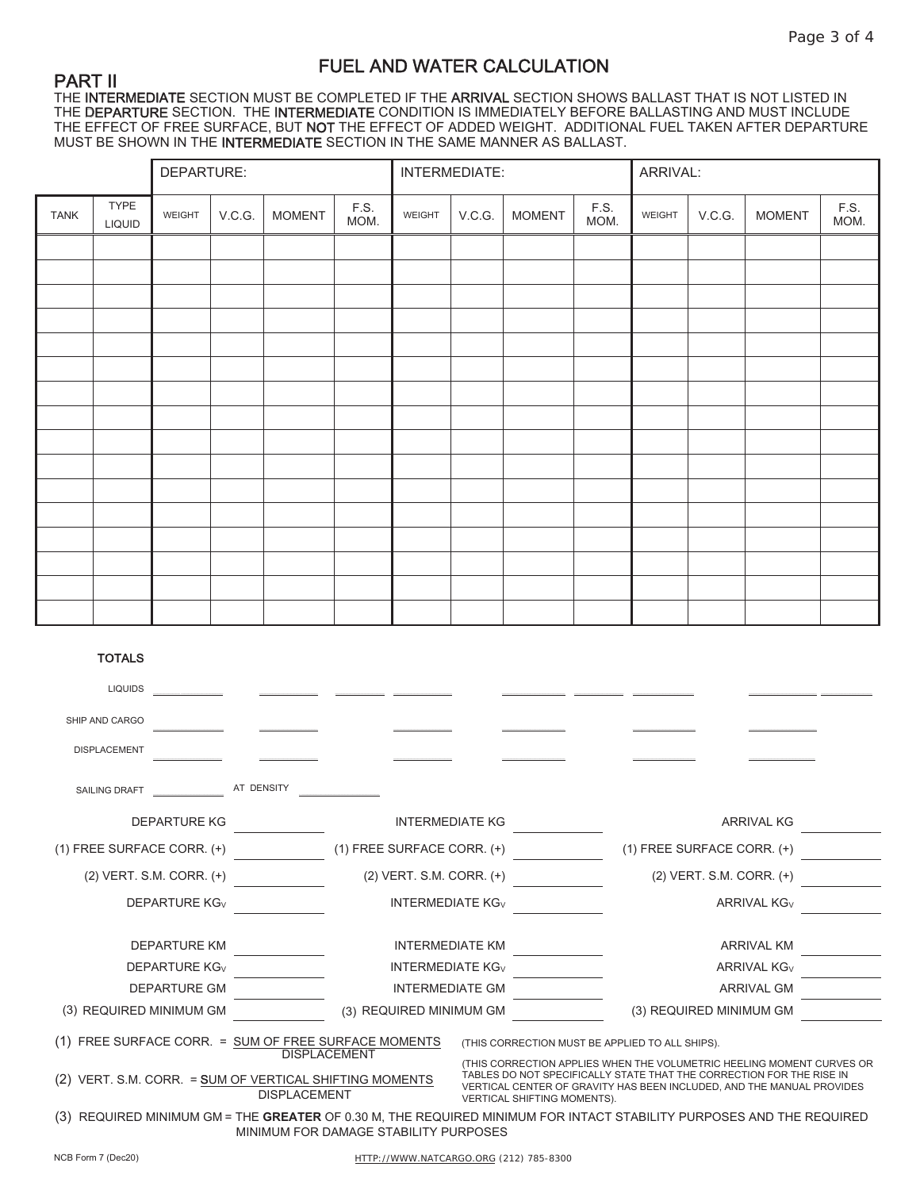### FUEL AND WATER CALCULATION

PART II THE INTERMEDIATE SECTION MUST BE COMPLETED IF THE ARRIVAL SECTION SHOWS BALLAST THAT IS NOT LISTED IN THE DEPARTURE SECTION. THE INTERMEDIATE CONDITION IS IMMEDIATELY BEFORE BALLASTING AND MUST INCLUDE THE EFFECT OF FREE SURFACE, BUT **NOT** THE EFFECT OF ADDED WEIGHT. ADDITIONAL FUEL TAKEN AFTER DEPARTURE MUST BE SHOWN IN THE **INTERMEDIATE** SECTION IN THE SAME MANNER AS BALLAST.

|             |                       | DEPARTURE: |        |               |              | INTERMEDIATE: |          |               | ARRIVAL:     |        |        |               |              |
|-------------|-----------------------|------------|--------|---------------|--------------|---------------|----------|---------------|--------------|--------|--------|---------------|--------------|
| <b>TANK</b> | TYPE<br><b>LIQUID</b> | WEIGHT     | V.C.G. | <b>MOMENT</b> | F.S.<br>MOM. | WEIGHT        | $V.C.G.$ | <b>MOMENT</b> | F.S.<br>MOM. | WEIGHT | V.C.G. | <b>MOMENT</b> | F.S.<br>MOM. |
|             |                       |            |        |               |              |               |          |               |              |        |        |               |              |
|             |                       |            |        |               |              |               |          |               |              |        |        |               |              |
|             |                       |            |        |               |              |               |          |               |              |        |        |               |              |
|             |                       |            |        |               |              |               |          |               |              |        |        |               |              |
|             |                       |            |        |               |              |               |          |               |              |        |        |               |              |
|             |                       |            |        |               |              |               |          |               |              |        |        |               |              |
|             |                       |            |        |               |              |               |          |               |              |        |        |               |              |
|             |                       |            |        |               |              |               |          |               |              |        |        |               |              |
|             |                       |            |        |               |              |               |          |               |              |        |        |               |              |
|             |                       |            |        |               |              |               |          |               |              |        |        |               |              |
|             |                       |            |        |               |              |               |          |               |              |        |        |               |              |
|             |                       |            |        |               |              |               |          |               |              |        |        |               |              |
|             |                       |            |        |               |              |               |          |               |              |        |        |               |              |
|             |                       |            |        |               |              |               |          |               |              |        |        |               |              |
|             |                       |            |        |               |              |               |          |               |              |        |        |               |              |
|             |                       |            |        |               |              |               |          |               |              |        |        |               |              |

#### **TOTALS**

| <b>LIQUIDS</b>                                                                                                                                                                                          |                     |                                    |                                    |                                                                                                                                               |  |  |  |
|---------------------------------------------------------------------------------------------------------------------------------------------------------------------------------------------------------|---------------------|------------------------------------|------------------------------------|-----------------------------------------------------------------------------------------------------------------------------------------------|--|--|--|
| SHIP AND CARGO                                                                                                                                                                                          |                     |                                    |                                    |                                                                                                                                               |  |  |  |
| <b>DISPLACEMENT</b>                                                                                                                                                                                     |                     |                                    |                                    |                                                                                                                                               |  |  |  |
| <b>SAILING DRAFT</b>                                                                                                                                                                                    | AT DENSITY          |                                    |                                    |                                                                                                                                               |  |  |  |
| <b>DEPARTURE KG</b>                                                                                                                                                                                     |                     | <b>INTERMEDIATE KG</b>             |                                    | <b>ARRIVAL KG</b>                                                                                                                             |  |  |  |
| $(1)$ FREE SURFACE CORR. $(+)$                                                                                                                                                                          |                     | $(1)$ FREE SURFACE CORR. $(+)$     |                                    | $(1)$ FREE SURFACE CORR. $(+)$                                                                                                                |  |  |  |
| $(2)$ VERT. S.M. CORR. $(+)$                                                                                                                                                                            |                     | $(2)$ VERT. S.M. CORR. $(+)$       |                                    | $(2)$ VERT. S.M. CORR. $(+)$                                                                                                                  |  |  |  |
| <b>DEPARTURE KG<sub>V</sub></b>                                                                                                                                                                         |                     | <b>INTERMEDIATE KG<sub>V</sub></b> |                                    | <b>ARRIVAL KG<sub>V</sub></b>                                                                                                                 |  |  |  |
| <b>DEPARTURE KM</b>                                                                                                                                                                                     |                     | <b>INTERMEDIATE KM</b>             |                                    | <b>ARRIVAL KM</b>                                                                                                                             |  |  |  |
| <b>DEPARTURE KG<sub>V</sub></b>                                                                                                                                                                         |                     | <b>INTERMEDIATE KG<sub>V</sub></b> |                                    | <b>ARRIVAL KG<sub>V</sub></b>                                                                                                                 |  |  |  |
| <b>DEPARTURE GM</b>                                                                                                                                                                                     |                     | <b>INTERMEDIATE GM</b>             |                                    | <b>ARRIVAL GM</b>                                                                                                                             |  |  |  |
| (3) REQUIRED MINIMUM GM                                                                                                                                                                                 |                     | (3) REQUIRED MINIMUM GM            |                                    | (3) REQUIRED MINIMUM GM                                                                                                                       |  |  |  |
| (1) FREE SURFACE CORR. = SUM OF FREE SURFACE MOMENTS<br>(THIS CORRECTION MUST BE APPLIED TO ALL SHIPS).<br><b>DISPLACEMENT</b><br>(THIS CORRECTION APPLIES WHEN THE VOLUMETRIC HEELING MOMENT CURVES OR |                     |                                    |                                    |                                                                                                                                               |  |  |  |
| (2) VERT. S.M. CORR. = SUM OF VERTICAL SHIFTING MOMENTS                                                                                                                                                 | <b>DISPLACEMENT</b> |                                    | <b>VERTICAL SHIFTING MOMENTS).</b> | TABLES DO NOT SPECIFICALLY STATE THAT THE CORRECTION FOR THE RISE IN<br>VERTICAL CENTER OF GRAVITY HAS BEEN INCLUDED, AND THE MANUAL PROVIDES |  |  |  |
| (3) REQUIRED MINIMUM GM = THE <b>GREATER</b> OF 0.30 M, THE REQUIRED MINIMUM FOR INTACT STABILITY PURPOSES AND THE REQUIRED<br>MINIMUM FOR DAMAGE STABILITY PURPOSES                                    |                     |                                    |                                    |                                                                                                                                               |  |  |  |